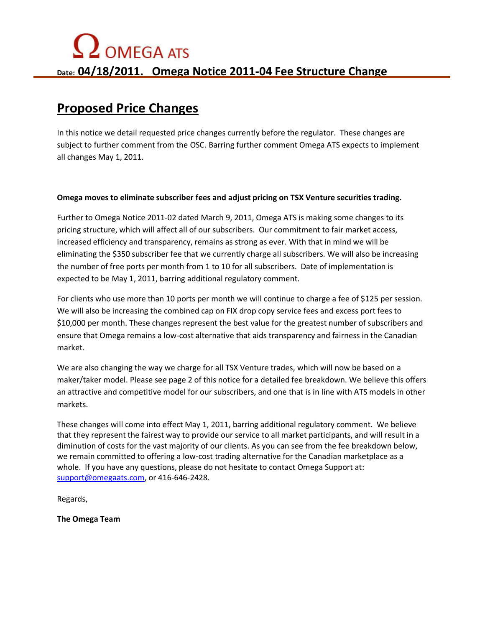## $\Omega$  OMEGA ATS **Date: 04/18/2011. Omega Notice 2011-04 Fee Structure Change**

### **Proposed Price Changes**

In this notice we detail requested price changes currently before the regulator. These changes are subject to further comment from the OSC. Barring further comment Omega ATS expects to implement all changes May 1, 2011.

#### **Omega moves to eliminate subscriber fees and adjust pricing on TSX Venture securities trading.**

Further to Omega Notice 2011-02 dated March 9, 2011, Omega ATS is making some changes to its pricing structure, which will affect all of our subscribers. Our commitment to fair market access, increased efficiency and transparency, remains as strong as ever. With that in mind we will be eliminating the \$350 subscriber fee that we currently charge all subscribers. We will also be increasing the number of free ports per month from 1 to 10 for all subscribers. Date of implementation is expected to be May 1, 2011, barring additional regulatory comment.

For clients who use more than 10 ports per month we will continue to charge a fee of \$125 per session. We will also be increasing the combined cap on FIX drop copy service fees and excess port fees to \$10,000 per month. These changes represent the best value for the greatest number of subscribers and ensure that Omega remains a low-cost alternative that aids transparency and fairness in the Canadian market.

We are also changing the way we charge for all TSX Venture trades, which will now be based on a maker/taker model. Please see page 2 of this notice for a detailed fee breakdown. We believe this offers an attractive and competitive model for our subscribers, and one that is in line with ATS models in other markets.

These changes will come into effect May 1, 2011, barring additional regulatory comment. We believe that they represent the fairest way to provide our service to all market participants, and will result in a diminution of costs for the vast majority of our clients. As you can see from the fee breakdown below, we remain committed to offering a low-cost trading alternative for the Canadian marketplace as a whole. If you have any questions, please do not hesitate to contact Omega Support at: support@omegaats.com, or 416-646-2428.

Regards,

**The Omega Team**